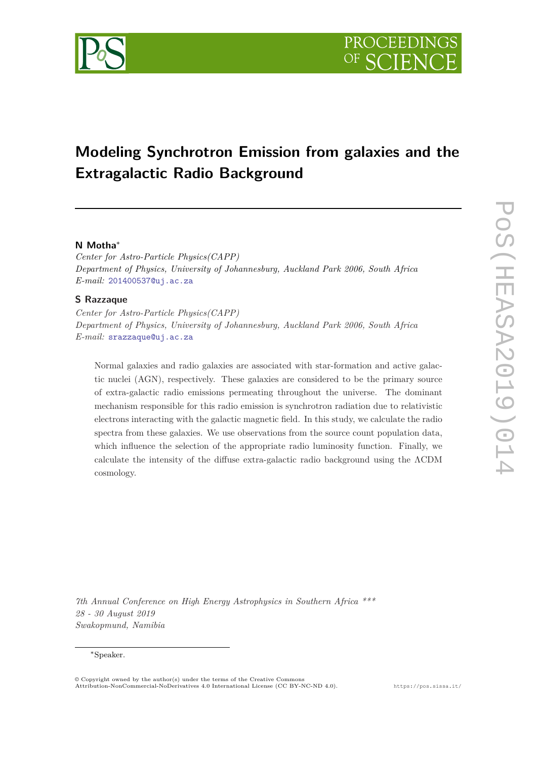

# **Modeling Synchrotron Emission from galaxies and the Extragalactic Radio Background**

# **N Motha**<sup>∗</sup>

*Center for Astro-Particle Physics(CAPP) Department of Physics, University of Johannesburg, Auckland Park 2006, South Africa E-mail:* [201400537@uj.ac.za](mailto:201400537@uj.ac.za)

# **S Razzaque**

*Center for Astro-Particle Physics(CAPP) Department of Physics, University of Johannesburg, Auckland Park 2006, South Africa E-mail:* [srazzaque@uj.ac.za](mailto:srazzaque@uj.ac.za)

Normal galaxies and radio galaxies are associated with star-formation and active galactic nuclei (AGN), respectively. These galaxies are considered to be the primary source of extra-galactic radio emissions permeating throughout the universe. The dominant mechanism responsible for this radio emission is synchrotron radiation due to relativistic electrons interacting with the galactic magnetic field. In this study, we calculate the radio spectra from these galaxies. We use observations from the source count population data, which influence the selection of the appropriate radio luminosity function. Finally, we calculate the intensity of the diffuse extra-galactic radio background using the ΛCDM cosmology.

*7th Annual Conference on High Energy Astrophysics in Southern Africa \*\*\* 28 - 30 August 2019 Swakopmund, Namibia*

#### <sup>∗</sup>Speaker.

<sup>©</sup> Copyright owned by the author(s) under the terms of the Creative Commons Attribution-NonCommercial-NoDerivatives 4.0 International License (CC BY-NC-ND 4.0). https://pos.sissa.it/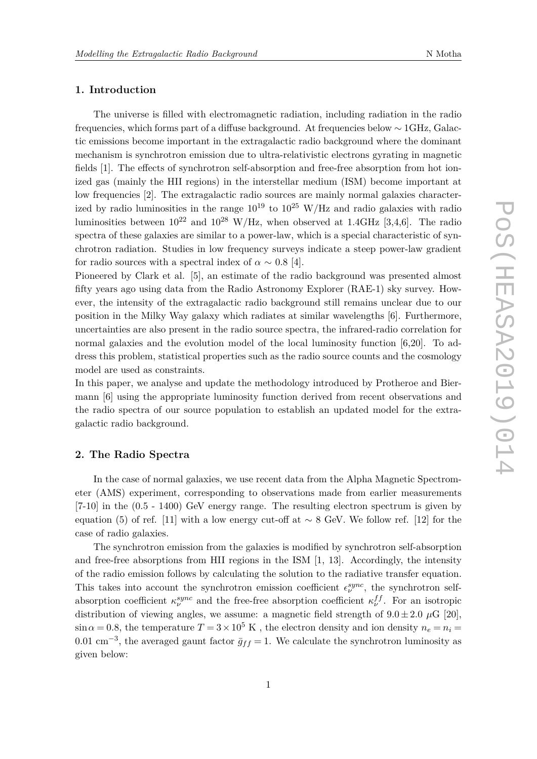#### **1. Introduction**

The universe is filled with electromagnetic radiation, including radiation in the radio frequencies, which forms part of a diffuse background. At frequencies below ∼ 1GHz, Galactic emissions become important in the extragalactic radio background where the dominant mechanism is synchrotron emission due to ultra-relativistic electrons gyrating in magnetic fields [1]. The effects of synchrotron self-absorption and free-free absorption from hot ionized gas (mainly the HII regions) in the interstellar medium (ISM) become important at low frequencies [2]. The extragalactic radio sources are mainly normal galaxies characterized by radio luminosities in the range  $10^{19}$  to  $10^{25}$  W/Hz and radio galaxies with radio luminosities between  $10^{22}$  and  $10^{28}$  W/Hz, when observed at 1.4GHz [3,4,6]. The radio spectra of these galaxies are similar to a power-law, which is a special characteristic of synchrotron radiation. Studies in low frequency surveys indicate a steep power-law gradient for radio sources with a spectral index of  $\alpha \sim 0.8$  [4].

Pioneered by Clark et al. [5], an estimate of the radio background was presented almost fifty years ago using data from the Radio Astronomy Explorer (RAE-1) sky survey. However, the intensity of the extragalactic radio background still remains unclear due to our position in the Milky Way galaxy which radiates at similar wavelengths [6]. Furthermore, uncertainties are also present in the radio source spectra, the infrared-radio correlation for normal galaxies and the evolution model of the local luminosity function [6,20]. To address this problem, statistical properties such as the radio source counts and the cosmology model are used as constraints.

In this paper, we analyse and update the methodology introduced by Protheroe and Biermann [6] using the appropriate luminosity function derived from recent observations and the radio spectra of our source population to establish an updated model for the extragalactic radio background.

#### **2. The Radio Spectra**

In the case of normal galaxies, we use recent data from the Alpha Magnetic Spectrometer (AMS) experiment, corresponding to observations made from earlier measurements [7-10] in the (0.5 - 1400) GeV energy range. The resulting electron spectrum is given by equation (5) of ref. [11] with a low energy cut-off at ∼ 8 GeV. We follow ref. [12] for the case of radio galaxies.

The synchrotron emission from the galaxies is modified by synchrotron self-absorption and free-free absorptions from HII regions in the ISM [1, 13]. Accordingly, the intensity of the radio emission follows by calculating the solution to the radiative transfer equation. This takes into account the synchrotron emission coefficient  $\epsilon_{\nu}^{sync}$ , the synchrotron selfabsorption coefficient  $\kappa_{\nu}^{sync}$  and the free-free absorption coefficient  $\kappa_{\nu}^{ff}$ . For an isotropic distribution of viewing angles, we assume: a magnetic field strength of  $9.0 \pm 2.0 \mu$ G [20],  $\sin \alpha = 0.8$ , the temperature  $T = 3 \times 10^5$  K, the electron density and ion density  $n_e = n_i =$ 0.01 cm<sup>-3</sup>, the averaged gaunt factor  $\bar{g}_{ff} = 1$ . We calculate the synchrotron luminosity as given below: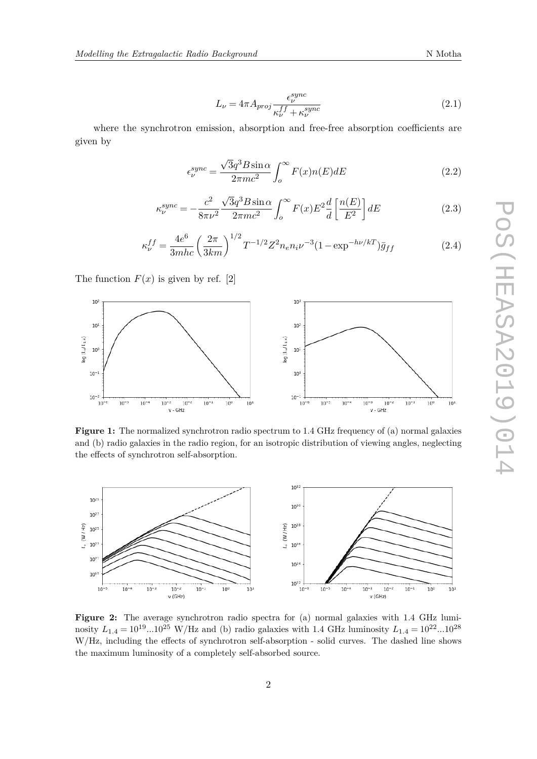$$
L_{\nu} = 4\pi A_{proj} \frac{\epsilon_{\nu}^{sync}}{\kappa_{\nu}^{ff} + \kappa_{\nu}^{sync}}
$$
\n(2.1)

where the synchrotron emission, absorption and free-free absorption coefficients are given by

$$
\epsilon_{\nu}^{sync} = \frac{\sqrt{3}q^3 B \sin \alpha}{2\pi mc^2} \int_{o}^{\infty} F(x)n(E) dE \tag{2.2}
$$

$$
\kappa_{\nu}^{sync} = -\frac{c^2}{8\pi\nu^2} \frac{\sqrt{3}q^3 B \sin\alpha}{2\pi m c^2} \int_0^\infty F(x) E^2 \frac{d}{d} \left[\frac{n(E)}{E^2}\right] dE \tag{2.3}
$$

$$
\kappa_{\nu}^{ff} = \frac{4e^6}{3mhc} \left(\frac{2\pi}{3km}\right)^{1/2} T^{-1/2} Z^2 n_e n_i \nu^{-3} (1 - \exp^{-h\nu/kT}) \bar{g}_{ff}
$$
(2.4)

The function  $F(x)$  is given by ref. [2]



**Figure 1:** The normalized synchrotron radio spectrum to 1.4 GHz frequency of (a) normal galaxies and (b) radio galaxies in the radio region, for an isotropic distribution of viewing angles, neglecting the effects of synchrotron self-absorption.



**Figure 2:** The average synchrotron radio spectra for (a) normal galaxies with 1.4 GHz luminosity  $L_{1.4} = 10^{19}...10^{25}$  W/Hz and (b) radio galaxies with 1.4 GHz luminosity  $L_{1.4} = 10^{22}...10^{28}$ W/Hz, including the effects of synchrotron self-absorption - solid curves. The dashed line shows the maximum luminosity of a completely self-absorbed source.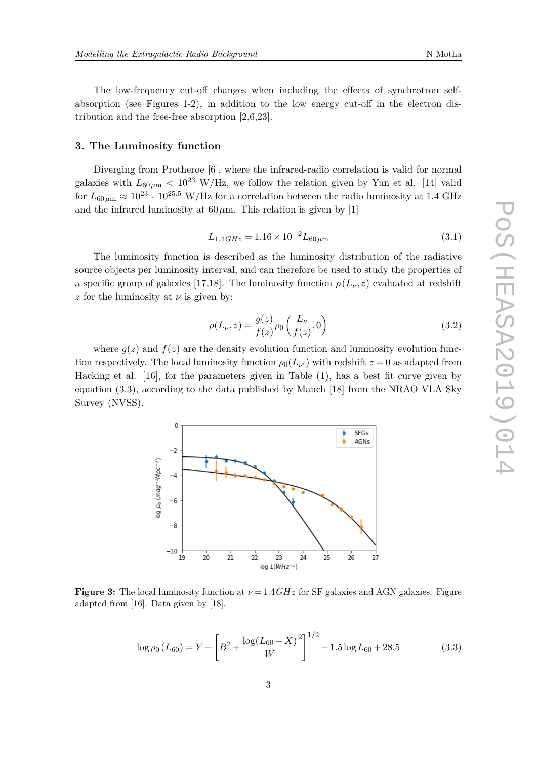The low-frequency cut-off changes when including the effects of synchrotron selfabsorption (see Figures 1-2), in addition to the low energy cut-off in the electron distribution and the free-free absorption [2,6,23].

## **3. The Luminosity function**

Diverging from Protheroe [6], where the infrared-radio correlation is valid for normal galaxies with  $L_{60\mu\text{m}} < 10^{23}$  W/Hz, we follow the relation given by Yun et al. [14] valid for  $L_{60\,\mu\text{m}} \approx 10^{23}$  -  $10^{25.5}$  W/Hz for a correlation between the radio luminosity at 1.4 GHz and the infrared luminosity at  $60 \mu$ m. This relation is given by [1]

$$
L_{1.4\,GHz} = 1.16 \times 10^{-2} L_{60\,\mu\text{m}} \tag{3.1}
$$

The luminosity function is described as the luminosity distribution of the radiative source objects per luminosity interval, and can therefore be used to study the properties of a specific group of galaxies [17,18]. The luminosity function  $\rho(L_\nu, z)$  evaluated at redshift *z* for the luminosity at *ν* is given by:

$$
\rho(L_{\nu}, z) = \frac{g(z)}{f(z)} \rho_0\left(\frac{L_{\nu}}{f(z)}, 0\right) \tag{3.2}
$$

where  $g(z)$  and  $f(z)$  are the density evolution function and luminosity evolution function respectively. The local luminosity function  $\rho_0(L_{\nu'})$  with redshift  $z = 0$  as adapted from Hacking et al. [16], for the parameters given in Table (1), has a best fit curve given by equation (3.3), according to the data published by Mauch [18] from the NRAO VLA Sky Survey (NVSS).



**Figure 3:** The local luminosity function at  $\nu = 1.4GHz$  for SF galaxies and AGN galaxies. Figure adapted from [16]. Data given by [18].

$$
\log \rho_0(L_{60}) = Y - \left[ B^2 + \frac{\log(L_{60} - X)^2}{W} \right]^{1/2} - 1.5 \log L_{60} + 28.5 \tag{3.3}
$$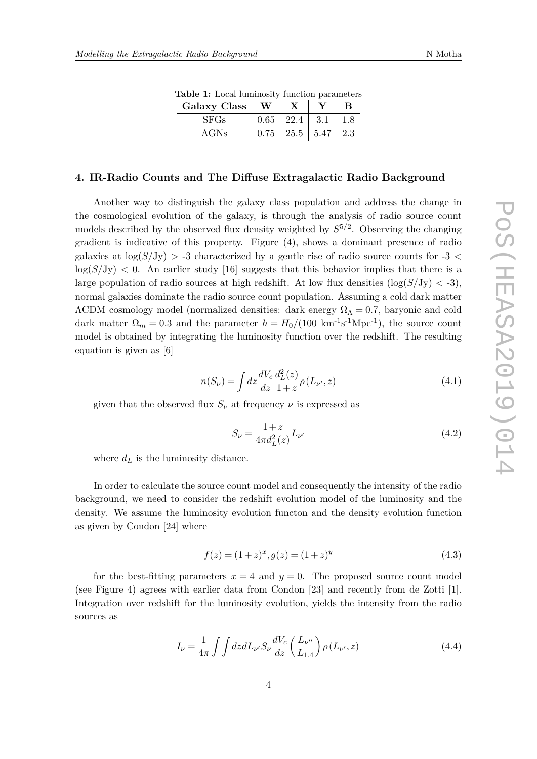| <b>Lable 1:</b> Local Idminition Idilction parameters |    |                            |  |                   |
|-------------------------------------------------------|----|----------------------------|--|-------------------|
| Galaxy Class                                          | W. | X                          |  | <sub>B</sub>      |
| <b>SFGs</b>                                           |    | $0.65$   22.4   3.1        |  | $\vert 1.8 \vert$ |
| AGNs                                                  |    | $0.75$   25.5   5.47   2.3 |  |                   |

**Table 1:** Local luminosity function parameters

#### **4. IR-Radio Counts and The Diffuse Extragalactic Radio Background**

Another way to distinguish the galaxy class population and address the change in the cosmological evolution of the galaxy, is through the analysis of radio source count models described by the observed flux density weighted by *S* 5*/*2 . Observing the changing gradient is indicative of this property. Figure (4), shows a dominant presence of radio galaxies at  $\log(S/Jy) > -3$  characterized by a gentle rise of radio source counts for  $-3 <$  $\log(S/\text{Jy})$  < 0. An earlier study [16] suggests that this behavior implies that there is a large population of radio sources at high redshift. At low flux densities  $(\log(S/J_V) < -3)$ , normal galaxies dominate the radio source count population. Assuming a cold dark matter  $\Lambda$ CDM cosmology model (normalized densities: dark energy  $\Omega_{\Lambda} = 0.7$ , baryonic and cold dark matter  $\Omega_m = 0.3$  and the parameter  $h = H_0/(100 \text{ km}^{-1}\text{s}^{-1}\text{Mpc}^{-1})$ , the source count model is obtained by integrating the luminosity function over the redshift. The resulting equation is given as [6]

$$
n(S_{\nu}) = \int dz \frac{dV_c}{dz} \frac{d_L^2(z)}{1+z} \rho(L_{\nu'}, z)
$$
\n(4.1)

given that the observed flux  $S_{\nu}$  at frequency  $\nu$  is expressed as

$$
S_{\nu} = \frac{1+z}{4\pi d_L^2(z)} L_{\nu'} \tag{4.2}
$$

where  $d_L$  is the luminosity distance.

In order to calculate the source count model and consequently the intensity of the radio background, we need to consider the redshift evolution model of the luminosity and the density. We assume the luminosity evolution functon and the density evolution function as given by Condon [24] where

$$
f(z) = (1+z)^x, g(z) = (1+z)^y
$$
\n(4.3)

for the best-fitting parameters  $x = 4$  and  $y = 0$ . The proposed source count model (see Figure 4) agrees with earlier data from Condon [23] and recently from de Zotti [1]. Integration over redshift for the luminosity evolution, yields the intensity from the radio sources as

$$
I_{\nu} = \frac{1}{4\pi} \int \int dz dL_{\nu'} S_{\nu} \frac{dV_c}{dz} \left(\frac{L_{\nu''}}{L_{1.4}}\right) \rho\left(L_{\nu'}, z\right)
$$
(4.4)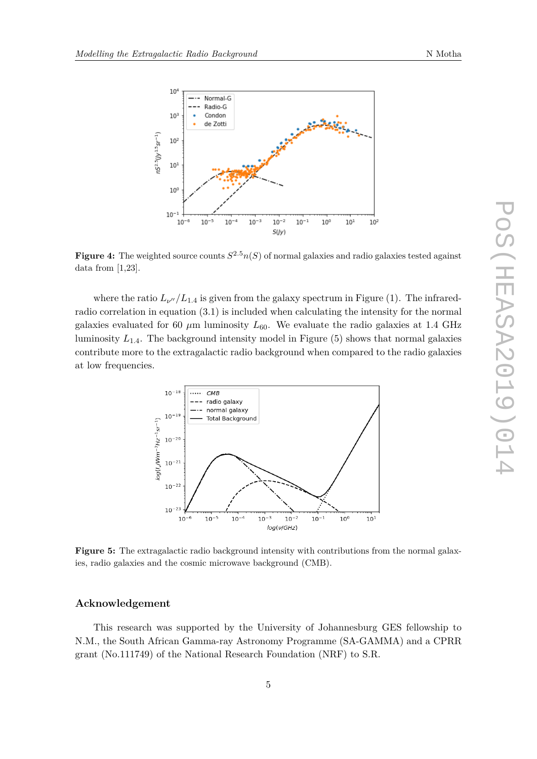

**Figure 4:** The weighted source counts  $S^{2.5}n(S)$  of normal galaxies and radio galaxies tested against data from [1,23].

where the ratio  $L_{\nu''}/L_{1.4}$  is given from the galaxy spectrum in Figure (1). The infraredradio correlation in equation (3.1) is included when calculating the intensity for the normal galaxies evaluated for 60  $\mu$ m luminosity  $L_{60}$ . We evaluate the radio galaxies at 1.4 GHz luminosity  $L_{1,4}$ . The background intensity model in Figure  $(5)$  shows that normal galaxies contribute more to the extragalactic radio background when compared to the radio galaxies at low frequencies.



**Figure 5:** The extragalactic radio background intensity with contributions from the normal galaxies, radio galaxies and the cosmic microwave background (CMB).

## **Acknowledgement**

This research was supported by the University of Johannesburg GES fellowship to N.M., the South African Gamma-ray Astronomy Programme (SA-GAMMA) and a CPRR grant (No.111749) of the National Research Foundation (NRF) to S.R.